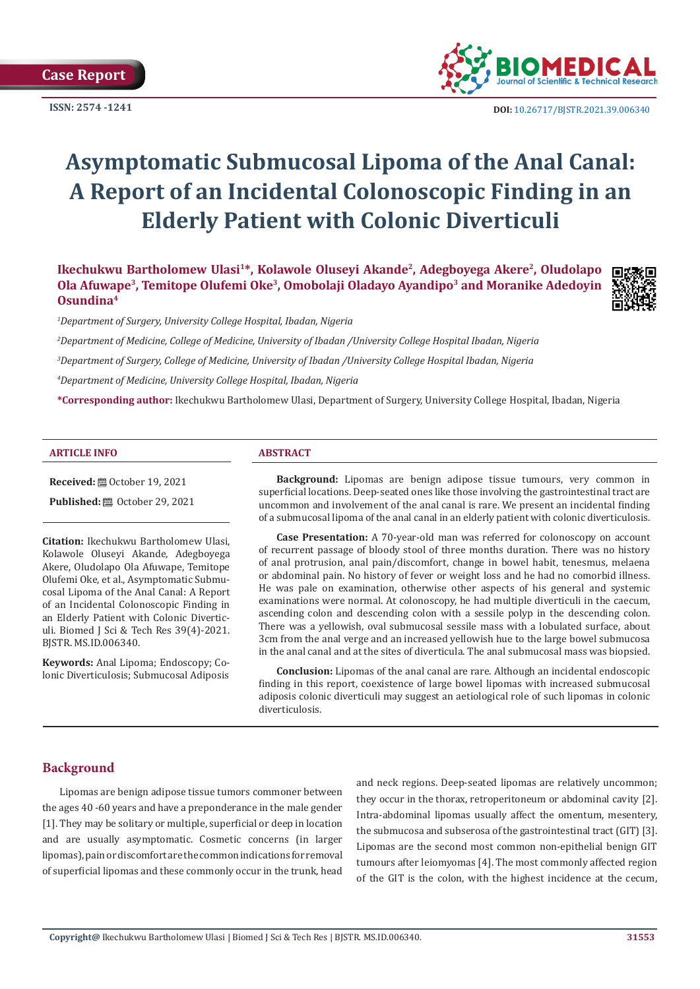**Case Report**

**ISSN: 2574 -1241**



 **DOI:** [10.26717/BJSTR.2021.39.006340](https://dx.doi.org/10.26717/BJSTR.2021.39.006340)

# **Asymptomatic Submucosal Lipoma of the Anal Canal: A Report of an Incidental Colonoscopic Finding in an Elderly Patient with Colonic Diverticuli**

Ikechukwu Bartholomew Ulasi<sup>1\*</sup>, Kolawole Oluseyi Akande<sup>2</sup>, Adegboyega Akere<sup>2</sup>, Oludolapo **Ola Afuwape3, Temitope Olufemi Oke3, Omobolaji Oladayo Ayandipo3 and Moranike Adedoyin Osundina4**



*1 Department of Surgery, University College Hospital, Ibadan, Nigeria*

*2 Department of Medicine, College of Medicine, University of Ibadan /University College Hospital Ibadan, Nigeria*

*3 Department of Surgery, College of Medicine, University of Ibadan /University College Hospital Ibadan, Nigeria*

*4 Department of Medicine, University College Hospital, Ibadan, Nigeria*

**\*Corresponding author:** Ikechukwu Bartholomew Ulasi, Department of Surgery, University College Hospital, Ibadan, Nigeria

#### **ARTICLE INFO ABSTRACT**

**Received:** ■ October 19, 2021

**Published: @** October 29, 2021

**Citation:** Ikechukwu Bartholomew Ulasi, Kolawole Oluseyi Akande, Adegboyega Akere, Oludolapo Ola Afuwape, Temitope Olufemi Oke, et al., Asymptomatic Submucosal Lipoma of the Anal Canal: A Report of an Incidental Colonoscopic Finding in an Elderly Patient with Colonic Diverticuli. Biomed J Sci & Tech Res 39(4)-2021. BJSTR. MS.ID.006340.

**Keywords:** Anal Lipoma; Endoscopy; Colonic Diverticulosis; Submucosal Adiposis

**Background:** Lipomas are benign adipose tissue tumours, very common in superficial locations. Deep-seated ones like those involving the gastrointestinal tract are uncommon and involvement of the anal canal is rare. We present an incidental finding of a submucosal lipoma of the anal canal in an elderly patient with colonic diverticulosis.

**Case Presentation:** A 70-year-old man was referred for colonoscopy on account of recurrent passage of bloody stool of three months duration. There was no history of anal protrusion, anal pain/discomfort, change in bowel habit, tenesmus, melaena or abdominal pain. No history of fever or weight loss and he had no comorbid illness. He was pale on examination, otherwise other aspects of his general and systemic examinations were normal. At colonoscopy, he had multiple diverticuli in the caecum, ascending colon and descending colon with a sessile polyp in the descending colon. There was a yellowish, oval submucosal sessile mass with a lobulated surface, about 3cm from the anal verge and an increased yellowish hue to the large bowel submucosa in the anal canal and at the sites of diverticula. The anal submucosal mass was biopsied.

**Conclusion:** Lipomas of the anal canal are rare. Although an incidental endoscopic finding in this report, coexistence of large bowel lipomas with increased submucosal adiposis colonic diverticuli may suggest an aetiological role of such lipomas in colonic diverticulosis.

# **Background**

Lipomas are benign adipose tissue tumors commoner between the ages 40 -60 years and have a preponderance in the male gender [1]. They may be solitary or multiple, superficial or deep in location and are usually asymptomatic. Cosmetic concerns (in larger lipomas), pain or discomfort are the common indications for removal of superficial lipomas and these commonly occur in the trunk, head and neck regions. Deep-seated lipomas are relatively uncommon; they occur in the thorax, retroperitoneum or abdominal cavity [2]. Intra-abdominal lipomas usually affect the omentum, mesentery, the submucosa and subserosa of the gastrointestinal tract (GIT) [3]. Lipomas are the second most common non-epithelial benign GIT tumours after leiomyomas [4]. The most commonly affected region of the GIT is the colon, with the highest incidence at the cecum,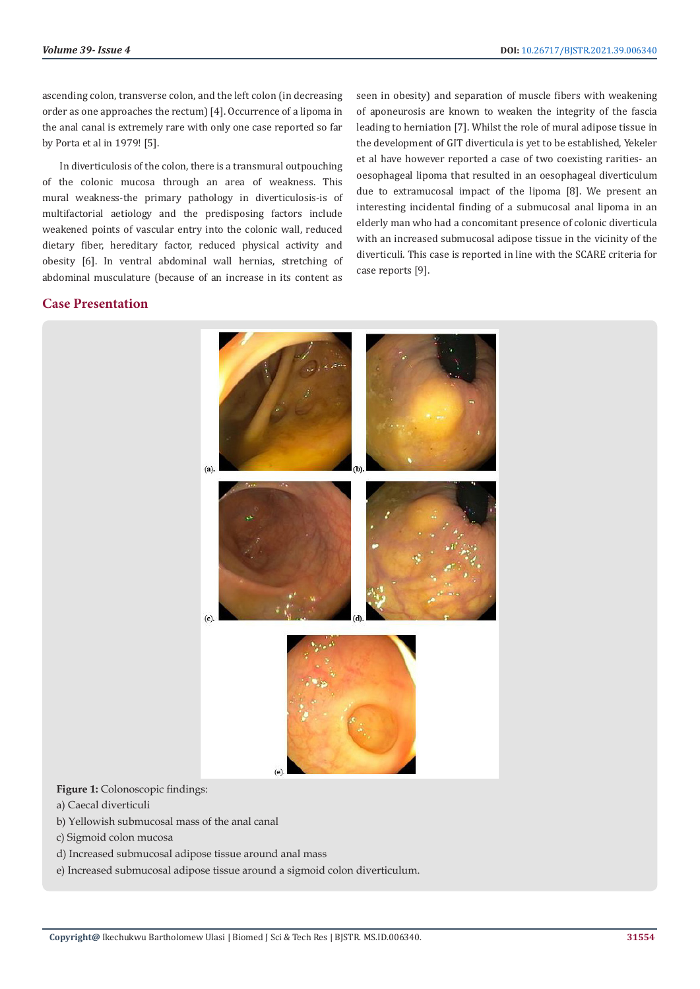ascending colon, transverse colon, and the left colon (in decreasing order as one approaches the rectum) [4]. Occurrence of a lipoma in the anal canal is extremely rare with only one case reported so far by Porta et al in 1979! [5].

In diverticulosis of the colon, there is a transmural outpouching of the colonic mucosa through an area of weakness. This mural weakness-the primary pathology in diverticulosis-is of multifactorial aetiology and the predisposing factors include weakened points of vascular entry into the colonic wall, reduced dietary fiber, hereditary factor, reduced physical activity and obesity [6]. In ventral abdominal wall hernias, stretching of abdominal musculature (because of an increase in its content as

seen in obesity) and separation of muscle fibers with weakening of aponeurosis are known to weaken the integrity of the fascia leading to herniation [7]. Whilst the role of mural adipose tissue in the development of GIT diverticula is yet to be established, Yekeler et al have however reported a case of two coexisting rarities- an oesophageal lipoma that resulted in an oesophageal diverticulum due to extramucosal impact of the lipoma [8]. We present an interesting incidental finding of a submucosal anal lipoma in an elderly man who had a concomitant presence of colonic diverticula with an increased submucosal adipose tissue in the vicinity of the diverticuli. This case is reported in line with the SCARE criteria for case reports [9].

# **Case Presentation**



**Figure 1:** Colonoscopic findings:

- a) Caecal diverticuli
- b) Yellowish submucosal mass of the anal canal
- c) Sigmoid colon mucosa
- d) Increased submucosal adipose tissue around anal mass
- e) Increased submucosal adipose tissue around a sigmoid colon diverticulum.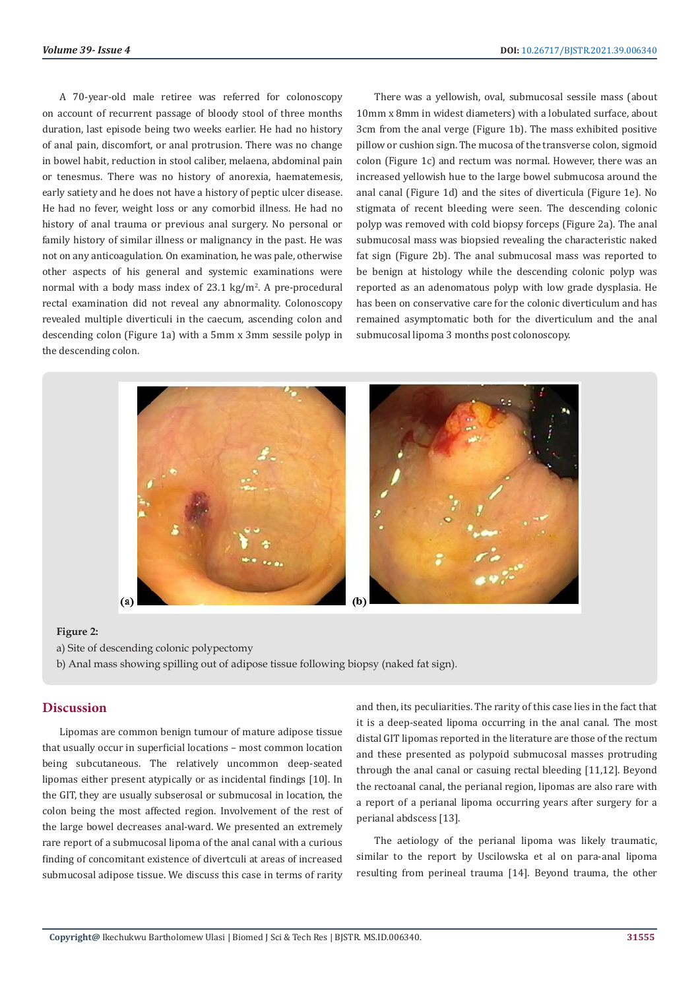A 70-year-old male retiree was referred for colonoscopy on account of recurrent passage of bloody stool of three months duration, last episode being two weeks earlier. He had no history of anal pain, discomfort, or anal protrusion. There was no change in bowel habit, reduction in stool caliber, melaena, abdominal pain or tenesmus. There was no history of anorexia, haematemesis, early satiety and he does not have a history of peptic ulcer disease. He had no fever, weight loss or any comorbid illness. He had no history of anal trauma or previous anal surgery. No personal or family history of similar illness or malignancy in the past. He was not on any anticoagulation. On examination, he was pale, otherwise other aspects of his general and systemic examinations were normal with a body mass index of 23.1 kg/m<sup>2</sup>. A pre-procedural rectal examination did not reveal any abnormality. Colonoscopy revealed multiple diverticuli in the caecum, ascending colon and descending colon (Figure 1a) with a 5mm x 3mm sessile polyp in the descending colon.

There was a yellowish, oval, submucosal sessile mass (about 10mm x 8mm in widest diameters) with a lobulated surface, about 3cm from the anal verge (Figure 1b). The mass exhibited positive pillow or cushion sign. The mucosa of the transverse colon, sigmoid colon (Figure 1c) and rectum was normal. However, there was an increased yellowish hue to the large bowel submucosa around the anal canal (Figure 1d) and the sites of diverticula (Figure 1e). No stigmata of recent bleeding were seen. The descending colonic polyp was removed with cold biopsy forceps (Figure 2a). The anal submucosal mass was biopsied revealing the characteristic naked fat sign (Figure 2b). The anal submucosal mass was reported to be benign at histology while the descending colonic polyp was reported as an adenomatous polyp with low grade dysplasia. He has been on conservative care for the colonic diverticulum and has remained asymptomatic both for the diverticulum and the anal submucosal lipoma 3 months post colonoscopy.



#### **Figure 2:**

- a) Site of descending colonic polypectomy
- b) Anal mass showing spilling out of adipose tissue following biopsy (naked fat sign).

#### **Discussion**

Lipomas are common benign tumour of mature adipose tissue that usually occur in superficial locations – most common location being subcutaneous. The relatively uncommon deep-seated lipomas either present atypically or as incidental findings [10]. In the GIT, they are usually subserosal or submucosal in location, the colon being the most affected region. Involvement of the rest of the large bowel decreases anal-ward. We presented an extremely rare report of a submucosal lipoma of the anal canal with a curious finding of concomitant existence of divertculi at areas of increased submucosal adipose tissue. We discuss this case in terms of rarity

and then, its peculiarities. The rarity of this case lies in the fact that it is a deep-seated lipoma occurring in the anal canal. The most distal GIT lipomas reported in the literature are those of the rectum and these presented as polypoid submucosal masses protruding through the anal canal or casuing rectal bleeding [11,12]. Beyond the rectoanal canal, the perianal region, lipomas are also rare with a report of a perianal lipoma occurring years after surgery for a perianal abdscess [13].

The aetiology of the perianal lipoma was likely traumatic, similar to the report by Uscilowska et al on para-anal lipoma resulting from perineal trauma [14]. Beyond trauma, the other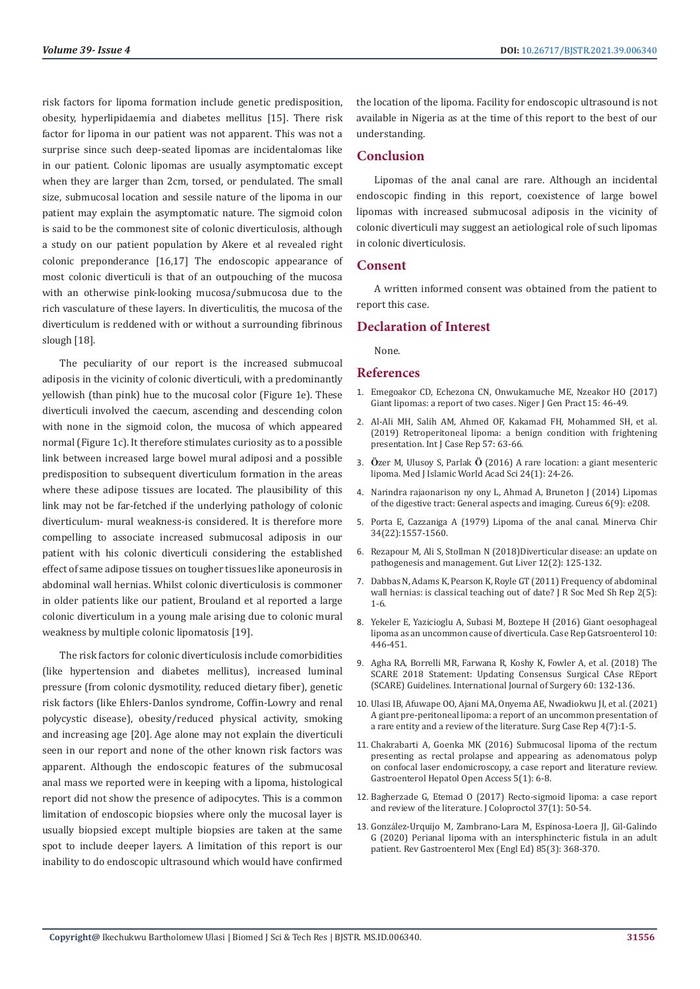risk factors for lipoma formation include genetic predisposition, obesity, hyperlipidaemia and diabetes mellitus [15]. There risk factor for lipoma in our patient was not apparent. This was not a surprise since such deep-seated lipomas are incidentalomas like in our patient. Colonic lipomas are usually asymptomatic except when they are larger than 2cm, torsed, or pendulated. The small size, submucosal location and sessile nature of the lipoma in our patient may explain the asymptomatic nature. The sigmoid colon is said to be the commonest site of colonic diverticulosis, although a study on our patient population by Akere et al revealed right colonic preponderance [16,17] The endoscopic appearance of most colonic diverticuli is that of an outpouching of the mucosa with an otherwise pink-looking mucosa/submucosa due to the rich vasculature of these layers. In diverticulitis, the mucosa of the diverticulum is reddened with or without a surrounding fibrinous slough [18].

The peculiarity of our report is the increased submucoal adiposis in the vicinity of colonic diverticuli, with a predominantly yellowish (than pink) hue to the mucosal color (Figure 1e). These diverticuli involved the caecum, ascending and descending colon with none in the sigmoid colon, the mucosa of which appeared normal (Figure 1c). It therefore stimulates curiosity as to a possible link between increased large bowel mural adiposi and a possible predisposition to subsequent diverticulum formation in the areas where these adipose tissues are located. The plausibility of this link may not be far-fetched if the underlying pathology of colonic diverticulum- mural weakness-is considered. It is therefore more compelling to associate increased submucosal adiposis in our patient with his colonic diverticuli considering the established effect of same adipose tissues on tougher tissues like aponeurosis in abdominal wall hernias. Whilst colonic diverticulosis is commoner in older patients like our patient, Brouland et al reported a large colonic diverticulum in a young male arising due to colonic mural weakness by multiple colonic lipomatosis [19].

The risk factors for colonic diverticulosis include comorbidities (like hypertension and diabetes mellitus), increased luminal pressure (from colonic dysmotility, reduced dietary fiber), genetic risk factors (like Ehlers-Danlos syndrome, Coffin-Lowry and renal polycystic disease), obesity/reduced physical activity, smoking and increasing age [20]. Age alone may not explain the diverticuli seen in our report and none of the other known risk factors was apparent. Although the endoscopic features of the submucosal anal mass we reported were in keeping with a lipoma, histological report did not show the presence of adipocytes. This is a common limitation of endoscopic biopsies where only the mucosal layer is usually biopsied except multiple biopsies are taken at the same spot to include deeper layers. A limitation of this report is our inability to do endoscopic ultrasound which would have confirmed

the location of the lipoma. Facility for endoscopic ultrasound is not available in Nigeria as at the time of this report to the best of our understanding.

# **Conclusion**

Lipomas of the anal canal are rare. Although an incidental endoscopic finding in this report, coexistence of large bowel lipomas with increased submucosal adiposis in the vicinity of colonic diverticuli may suggest an aetiological role of such lipomas in colonic diverticulosis.

# **Consent**

A written informed consent was obtained from the patient to report this case.

# **Declaration of Interest**

None.

#### **References**

- 1. [Emegoakor CD, Echezona CN, Onwukamuche ME, Nzeakor HO \(2017\)](https://www.njgp.org/article.asp?issn=1118-4647;year=2017;volume=15;issue=2;spage=46;epage=49;aulast=Emegoakor) [Giant lipomas: a report of two cases. Niger J Gen Pract 15: 46-49.](https://www.njgp.org/article.asp?issn=1118-4647;year=2017;volume=15;issue=2;spage=46;epage=49;aulast=Emegoakor)
- 2. [Al-Ali MH, Salih AM, Ahmed OF, Kakamad FH, Mohammed SH, et al.](https://pubmed.ncbi.nlm.nih.gov/30904820/) [\(2019\) Retroperitoneal lipoma: a benign condition with frightening](https://pubmed.ncbi.nlm.nih.gov/30904820/) [presentation. Int J Case Rep 57: 63-66.](https://pubmed.ncbi.nlm.nih.gov/30904820/)
- 3. **Ö**zer M, Ulusoy S, Parlak **Ö** [\(2016\) A rare location: a giant mesenteric](https://jag.journalagent.com/ias/pdfs/IAS_24_1_24_26.pdf) [lipoma. Med J Islamic World Acad Sci 24\(1\): 24-26.](https://jag.journalagent.com/ias/pdfs/IAS_24_1_24_26.pdf)
- 4. [Narindra rajaonarison ny ony L, Ahmad A, Bruneton J \(2014\) Lipomas](https://www.cureus.com/articles/2440-lipomas-of-the-digestive-tract-general-aspects-and-imaging) [of the digestive tract: General aspects and imaging. Cureus 6\(9\): e208.](https://www.cureus.com/articles/2440-lipomas-of-the-digestive-tract-general-aspects-and-imaging)
- 5. [Porta E, Cazzaniga A \(1979\) Lipoma of the anal canal. Minerva Chir](https://pubmed.ncbi.nlm.nih.gov/548835/) [34\(22\):1557-1560.](https://pubmed.ncbi.nlm.nih.gov/548835/)
- 6. [Rezapour M, Ali S, Stollman N \(2018\)Diverticular disease: an update on](https://pubmed.ncbi.nlm.nih.gov/28494576/) [pathogenesis and management. Gut Liver 12\(2\): 125-132.](https://pubmed.ncbi.nlm.nih.gov/28494576/)
- 7. [Dabbas N, Adams K, Pearson K, Royle GT \(2011\) Frequency of abdominal](https://www.ncbi.nlm.nih.gov/labs/pmc/articles/PMC3031184/) [wall hernias: is classical teaching out of date? J R Soc Med Sh Rep 2\(5\):](https://www.ncbi.nlm.nih.gov/labs/pmc/articles/PMC3031184/) [1-6.](https://www.ncbi.nlm.nih.gov/labs/pmc/articles/PMC3031184/)
- 8. [Yekeler E, Yazicioglu A, Subasi M, Boztepe H \(2016\) Giant oesophageal](https://www.karger.com/Article/Fulltext/447487) [lipoma as an uncommon cause of diverticula. Case Rep Gatsroenterol 10:](https://www.karger.com/Article/Fulltext/447487) [446-451.](https://www.karger.com/Article/Fulltext/447487)
- 9. [Agha RA, Borrelli MR, Farwana R, Koshy K, Fowler A, et al. \(2018\) The](https://pubmed.ncbi.nlm.nih.gov/30342279/) [SCARE 2018 Statement: Updating Consensus Surgical CAse REport](https://pubmed.ncbi.nlm.nih.gov/30342279/) [\(SCARE\) Guidelines. International Journal of Surgery 60: 132-136.](https://pubmed.ncbi.nlm.nih.gov/30342279/)
- 10. [Ulasi IB, Afuwape OO, Ajani MA, Onyema AE, Nwadiokwu JI, et al. \(2021\)](https://www.sciencerepository.org/a-giant-pre-peritoneal-lipoma_SCR-2021-7-113) [A giant pre-peritoneal lipoma: a report of an uncommon presentation of](https://www.sciencerepository.org/a-giant-pre-peritoneal-lipoma_SCR-2021-7-113) [a rare entity and a review of the literature. Surg Case Rep 4\(7\):1-5.](https://www.sciencerepository.org/a-giant-pre-peritoneal-lipoma_SCR-2021-7-113)
- 11. [Chakrabarti A, Goenka MK \(2016\) Submucosal lipoma of the rectum](https://medcraveonline.com/GHOA/submucosal-lipoma-of-the-rectum-presenting-as-rectal-prolapse-and-appearing-as-adenomatous-polyp-on-confocal-laser-endomicroscopy-a-case-report-and-literature-review.html) [presenting as rectal prolapse and appearing as adenomatous polyp](https://medcraveonline.com/GHOA/submucosal-lipoma-of-the-rectum-presenting-as-rectal-prolapse-and-appearing-as-adenomatous-polyp-on-confocal-laser-endomicroscopy-a-case-report-and-literature-review.html) [on confocal laser endomicroscopy, a case report and literature review.](https://medcraveonline.com/GHOA/submucosal-lipoma-of-the-rectum-presenting-as-rectal-prolapse-and-appearing-as-adenomatous-polyp-on-confocal-laser-endomicroscopy-a-case-report-and-literature-review.html) [Gastroenterol Hepatol Open Access 5\(1\): 6-8.](https://medcraveonline.com/GHOA/submucosal-lipoma-of-the-rectum-presenting-as-rectal-prolapse-and-appearing-as-adenomatous-polyp-on-confocal-laser-endomicroscopy-a-case-report-and-literature-review.html)
- 12. [Bagherzade G, Etemad O \(2017\) Recto-sigmoid lipoma: a case report](https://www.scielo.br/j/jcol/a/zxD5jqbY8TF4jrJBMcXKWPF/?lang=en&format=pdf) [and review of the literature. J Coloproctol 37\(1\): 50-54.](https://www.scielo.br/j/jcol/a/zxD5jqbY8TF4jrJBMcXKWPF/?lang=en&format=pdf)
- 13. Gonzá[lez-Urquijo M, Zambrano-Lara M, Espinosa-Loera JJ, Gil-Galindo](http://www.revistagastroenterologiamexico.org/en-perianal-lipoma-with-an-intersphincteric-articulo-S2255534X20300360) [G \(2020\) Perianal lipoma with an intersphincteric fistula in an adult](http://www.revistagastroenterologiamexico.org/en-perianal-lipoma-with-an-intersphincteric-articulo-S2255534X20300360) [patient. Rev Gastroenterol Mex \(Engl Ed\) 85\(3\): 368-370.](http://www.revistagastroenterologiamexico.org/en-perianal-lipoma-with-an-intersphincteric-articulo-S2255534X20300360)